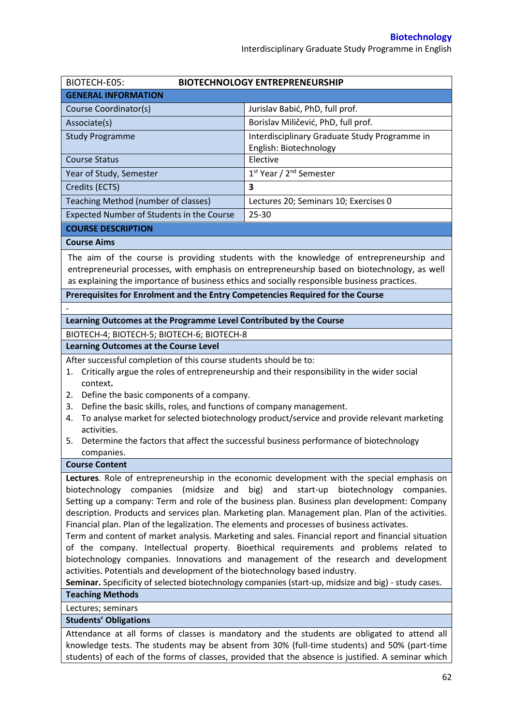| BIOTECH-E05:                                                                                                                                                                                 | <b>BIOTECHNOLOGY ENTREPRENEURSHIP</b>                                                        |  |  |  |
|----------------------------------------------------------------------------------------------------------------------------------------------------------------------------------------------|----------------------------------------------------------------------------------------------|--|--|--|
| <b>GENERAL INFORMATION</b>                                                                                                                                                                   |                                                                                              |  |  |  |
| Course Coordinator(s)                                                                                                                                                                        | Jurislav Babić, PhD, full prof.                                                              |  |  |  |
| Associate(s)                                                                                                                                                                                 | Borislav Miličević, PhD, full prof.                                                          |  |  |  |
| <b>Study Programme</b>                                                                                                                                                                       | Interdisciplinary Graduate Study Programme in                                                |  |  |  |
|                                                                                                                                                                                              | English: Biotechnology                                                                       |  |  |  |
| <b>Course Status</b>                                                                                                                                                                         | Elective                                                                                     |  |  |  |
| Year of Study, Semester                                                                                                                                                                      | 1st Year / 2 <sup>nd</sup> Semester                                                          |  |  |  |
| Credits (ECTS)                                                                                                                                                                               | 3                                                                                            |  |  |  |
| Teaching Method (number of classes)                                                                                                                                                          | Lectures 20; Seminars 10; Exercises 0                                                        |  |  |  |
| Expected Number of Students in the Course                                                                                                                                                    | 25-30                                                                                        |  |  |  |
| <b>COURSE DESCRIPTION</b>                                                                                                                                                                    |                                                                                              |  |  |  |
| <b>Course Aims</b>                                                                                                                                                                           |                                                                                              |  |  |  |
|                                                                                                                                                                                              | The aim of the course is providing students with the knowledge of entrepreneurship and       |  |  |  |
|                                                                                                                                                                                              | entrepreneurial processes, with emphasis on entrepreneurship based on biotechnology, as well |  |  |  |
| as explaining the importance of business ethics and socially responsible business practices.                                                                                                 |                                                                                              |  |  |  |
| Prerequisites for Enrolment and the Entry Competencies Required for the Course                                                                                                               |                                                                                              |  |  |  |
|                                                                                                                                                                                              |                                                                                              |  |  |  |
| Learning Outcomes at the Programme Level Contributed by the Course                                                                                                                           |                                                                                              |  |  |  |
| BIOTECH-4; BIOTECH-5; BIOTECH-6; BIOTECH-8                                                                                                                                                   |                                                                                              |  |  |  |
| <b>Learning Outcomes at the Course Level</b>                                                                                                                                                 |                                                                                              |  |  |  |
| After successful completion of this course students should be to:                                                                                                                            |                                                                                              |  |  |  |
| 1.                                                                                                                                                                                           | Critically argue the roles of entrepreneurship and their responsibility in the wider social  |  |  |  |
| context.                                                                                                                                                                                     |                                                                                              |  |  |  |
| Define the basic components of a company.<br>2.                                                                                                                                              |                                                                                              |  |  |  |
| Define the basic skills, roles, and functions of company management.<br>3.<br>4.                                                                                                             | To analyse market for selected biotechnology product/service and provide relevant marketing  |  |  |  |
| activities.                                                                                                                                                                                  |                                                                                              |  |  |  |
| 5.                                                                                                                                                                                           | Determine the factors that affect the successful business performance of biotechnology       |  |  |  |
| companies.                                                                                                                                                                                   |                                                                                              |  |  |  |
| <b>Course Content</b>                                                                                                                                                                        |                                                                                              |  |  |  |
|                                                                                                                                                                                              | Lectures. Role of entrepreneurship in the economic development with the special emphasis on  |  |  |  |
| biotechnology companies<br>(midsize<br>and                                                                                                                                                   | big)<br>and<br>start-up<br>biotechnology<br>companies.                                       |  |  |  |
| Setting up a company: Term and role of the business plan. Business plan development: Company                                                                                                 |                                                                                              |  |  |  |
| description. Products and services plan. Marketing plan. Management plan. Plan of the activities.                                                                                            |                                                                                              |  |  |  |
| Financial plan. Plan of the legalization. The elements and processes of business activates.                                                                                                  |                                                                                              |  |  |  |
| Term and content of market analysis. Marketing and sales. Financial report and financial situation<br>of the company. Intellectual property. Bioethical requirements and problems related to |                                                                                              |  |  |  |
| biotechnology companies. Innovations and management of the research and development                                                                                                          |                                                                                              |  |  |  |
| activities. Potentials and development of the biotechnology based industry.                                                                                                                  |                                                                                              |  |  |  |
| Seminar. Specificity of selected biotechnology companies (start-up, midsize and big) - study cases.                                                                                          |                                                                                              |  |  |  |
| <b>Teaching Methods</b>                                                                                                                                                                      |                                                                                              |  |  |  |
| Lectures; seminars                                                                                                                                                                           |                                                                                              |  |  |  |
| <b>Students' Obligations</b>                                                                                                                                                                 |                                                                                              |  |  |  |
| Attendance at all forms of classes is mandatory and the students are obligated to attend all                                                                                                 |                                                                                              |  |  |  |
| knowledge tests. The students may be absent from 30% (full-time students) and 50% (part-time                                                                                                 |                                                                                              |  |  |  |

students) of each of the forms of classes, provided that the absence is justified. A seminar which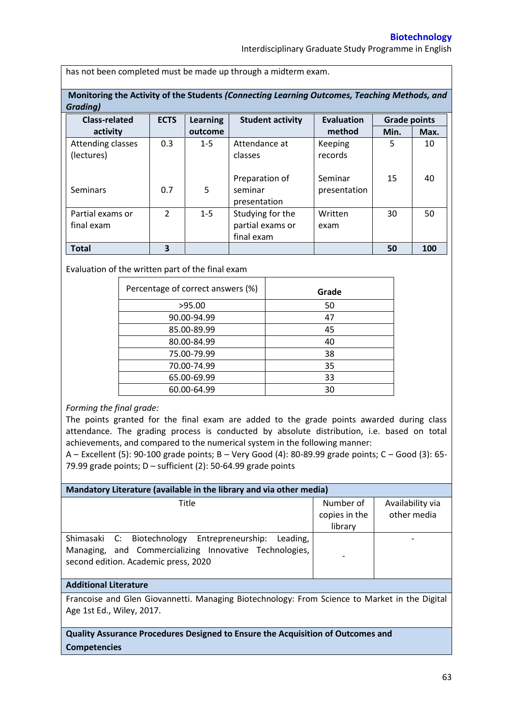Interdisciplinary Graduate Study Programme in English

has not been completed must be made up through a midterm exam.

**Monitoring the Activity of the Students** *(Connecting Learning Outcomes, Teaching Methods, and Grading)*

| --------             |               |                 |                         |                                          |      |      |
|----------------------|---------------|-----------------|-------------------------|------------------------------------------|------|------|
| <b>Class-related</b> | <b>ECTS</b>   | <b>Learning</b> | <b>Student activity</b> | <b>Evaluation</b><br><b>Grade points</b> |      |      |
| activity             |               | outcome         |                         | method                                   | Min. | Max. |
| Attending classes    | 0.3           | $1 - 5$         | Attendance at           | Keeping                                  | 5    | 10   |
| (lectures)           |               |                 | classes                 | records                                  |      |      |
|                      |               |                 |                         |                                          |      |      |
|                      |               |                 | Preparation of          | Seminar                                  | 15   | 40   |
| Seminars             | 0.7           | 5               | seminar                 | presentation                             |      |      |
|                      |               |                 | presentation            |                                          |      |      |
| Partial exams or     | $\mathcal{P}$ | $1 - 5$         | Studying for the        | Written                                  | 30   | 50   |
| final exam           |               |                 | partial exams or        | exam                                     |      |      |
|                      |               |                 | final exam              |                                          |      |      |
| <b>Total</b>         | 3             |                 |                         |                                          | 50   | 100  |

Evaluation of the written part of the final exam

| Grade |
|-------|
| 50    |
| 47    |
| 45    |
| 40    |
| 38    |
| 35    |
| 33    |
| 30    |
|       |

## *Forming the final grade:*

The points granted for the final exam are added to the grade points awarded during class attendance. The grading process is conducted by absolute distribution, i.e. based on total achievements, and compared to the numerical system in the following manner:

A – Excellent (5): 90-100 grade points; B – Very Good (4): 80-89.99 grade points; C – Good (3): 65- 79.99 grade points;  $D$  – sufficient (2): 50-64.99 grade points

| Mandatory Literature (available in the library and via other media)                                                                                        |                            |                                 |  |  |  |  |
|------------------------------------------------------------------------------------------------------------------------------------------------------------|----------------------------|---------------------------------|--|--|--|--|
| Title                                                                                                                                                      | Number of<br>copies in the | Availability via<br>other media |  |  |  |  |
|                                                                                                                                                            | library                    |                                 |  |  |  |  |
| Shimasaki C: Biotechnology Entrepreneurship:<br>Leading.<br>Managing, and Commercializing Innovative Technologies,<br>second edition. Academic press, 2020 |                            |                                 |  |  |  |  |
|                                                                                                                                                            |                            |                                 |  |  |  |  |

## **Additional Literature**

Francoise and Glen Giovannetti. Managing Biotechnology: From Science to Market in the Digital Age 1st Ed., Wiley, 2017.

**Quality Assurance Procedures Designed to Ensure the Acquisition of Outcomes and Competencies**